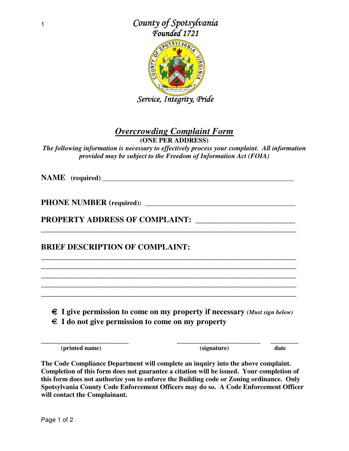

## *Overcrowding Complaint Form*

**(ONE PER ADDRESS)**

*The following information is necessary to effectively process your complaint. All information provided may be subject to the Freedom of Information Act (FOIA)* 

**NAME (required) \_\_\_\_\_\_\_\_\_\_\_\_\_\_\_\_\_\_\_\_\_\_\_\_\_\_\_\_\_\_\_\_\_\_\_\_\_\_\_\_\_\_\_\_\_\_\_\_\_\_\_\_\_\_\_\_** 

**PHONE NUMBER (required): \_\_\_\_\_\_\_\_\_\_\_\_\_\_\_\_\_\_\_\_\_\_\_\_\_\_\_\_\_\_\_\_\_\_\_\_\_\_\_\_\_\_\_\_** 

**PROPERTY ADDRESS OF COMPLAINT: \_\_\_\_\_\_\_\_\_\_\_\_\_\_\_\_\_\_\_\_\_\_\_\_\_** 

**BRIEF DESCRIPTION OF COMPLAINT:** 

€ **I give permission to come on my property if necessary** *(Must sign below)*

**\_\_\_\_\_\_\_\_\_\_\_\_\_\_\_\_\_\_\_\_\_\_ \_\_\_\_\_\_\_\_\_\_\_\_\_\_\_\_\_\_\_\_\_ \_\_\_\_\_\_\_** 

**\_\_\_\_\_\_\_\_\_\_\_\_\_\_\_\_\_\_\_\_\_\_\_\_\_\_\_\_\_\_\_\_\_\_\_\_\_\_\_\_\_\_\_\_\_\_\_\_\_\_\_\_\_\_\_\_\_\_\_\_\_\_\_\_** 

**\_\_\_\_\_\_\_\_\_\_\_\_\_\_\_\_\_\_\_\_\_\_\_\_\_\_\_\_\_\_\_\_\_\_\_\_\_\_\_\_\_\_\_\_\_\_\_\_\_\_\_\_\_\_\_\_\_\_\_\_\_\_\_\_ \_\_\_\_\_\_\_\_\_\_\_\_\_\_\_\_\_\_\_\_\_\_\_\_\_\_\_\_\_\_\_\_\_\_\_\_\_\_\_\_\_\_\_\_\_\_\_\_\_\_\_\_\_\_\_\_\_\_\_\_\_\_\_\_ \_\_\_\_\_\_\_\_\_\_\_\_\_\_\_\_\_\_\_\_\_\_\_\_\_\_\_\_\_\_\_\_\_\_\_\_\_\_\_\_\_\_\_\_\_\_\_\_\_\_\_\_\_\_\_\_\_\_\_\_\_\_\_\_ \_\_\_\_\_\_\_\_\_\_\_\_\_\_\_\_\_\_\_\_\_\_\_\_\_\_\_\_\_\_\_\_\_\_\_\_\_\_\_\_\_\_\_\_\_\_\_\_\_\_\_\_\_\_\_\_\_\_\_\_\_\_\_\_ \_\_\_\_\_\_\_\_\_\_\_\_\_\_\_\_\_\_\_\_\_\_\_\_\_\_\_\_\_\_\_\_\_\_\_\_\_\_\_\_\_\_\_\_\_\_\_\_\_\_\_\_\_\_\_\_\_\_\_\_\_\_\_\_** 

€ **I do not give permission to come on my property** 

 **(printed name) (signature) date**

**The Code Compliance Department will complete an inquiry into the above complaint. Completion of this form does not guarantee a citation will be issued. Your completion of this form does not authorize you to enforce the Building code or Zoning ordinance. Only Spotsylvania County Code Enforcement Officers may do so. A Code Enforcement Officer will contact the Complainant.**